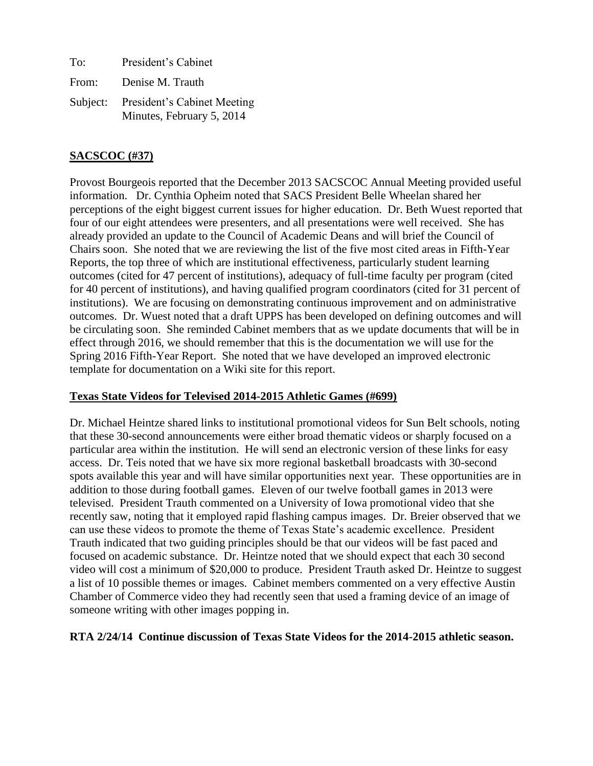To: President's Cabinet From: Denise M. Trauth Subject: President's Cabinet Meeting Minutes, February 5, 2014

# **SACSCOC (#37)**

Provost Bourgeois reported that the December 2013 SACSCOC Annual Meeting provided useful information. Dr. Cynthia Opheim noted that SACS President Belle Wheelan shared her perceptions of the eight biggest current issues for higher education. Dr. Beth Wuest reported that four of our eight attendees were presenters, and all presentations were well received. She has already provided an update to the Council of Academic Deans and will brief the Council of Chairs soon. She noted that we are reviewing the list of the five most cited areas in Fifth-Year Reports, the top three of which are institutional effectiveness, particularly student learning outcomes (cited for 47 percent of institutions), adequacy of full-time faculty per program (cited for 40 percent of institutions), and having qualified program coordinators (cited for 31 percent of institutions). We are focusing on demonstrating continuous improvement and on administrative outcomes. Dr. Wuest noted that a draft UPPS has been developed on defining outcomes and will be circulating soon. She reminded Cabinet members that as we update documents that will be in effect through 2016, we should remember that this is the documentation we will use for the Spring 2016 Fifth-Year Report. She noted that we have developed an improved electronic template for documentation on a Wiki site for this report.

## **Texas State Videos for Televised 2014-2015 Athletic Games (#699)**

Dr. Michael Heintze shared links to institutional promotional videos for Sun Belt schools, noting that these 30-second announcements were either broad thematic videos or sharply focused on a particular area within the institution. He will send an electronic version of these links for easy access.Dr. Teis noted that we have six more regional basketball broadcasts with 30-second spots available this year and will have similar opportunities next year. These opportunities are in addition to those during football games. Eleven of our twelve football games in 2013 were televised.President Trauth commented on a University of Iowa promotional video that she recently saw, noting that it employed rapid flashing campus images. Dr. Breier observed that we can use these videos to promote the theme of Texas State's academic excellence. President Trauth indicated that two guiding principles should be that our videos will be fast paced and focused on academic substance. Dr. Heintze noted that we should expect that each 30 second video will cost a minimum of \$20,000 to produce. President Trauth asked Dr. Heintze to suggest a list of 10 possible themes or images. Cabinet members commented on a very effective Austin Chamber of Commerce video they had recently seen that used a framing device of an image of someone writing with other images popping in.

## **RTA 2/24/14 Continue discussion of Texas State Videos for the 2014-2015 athletic season.**